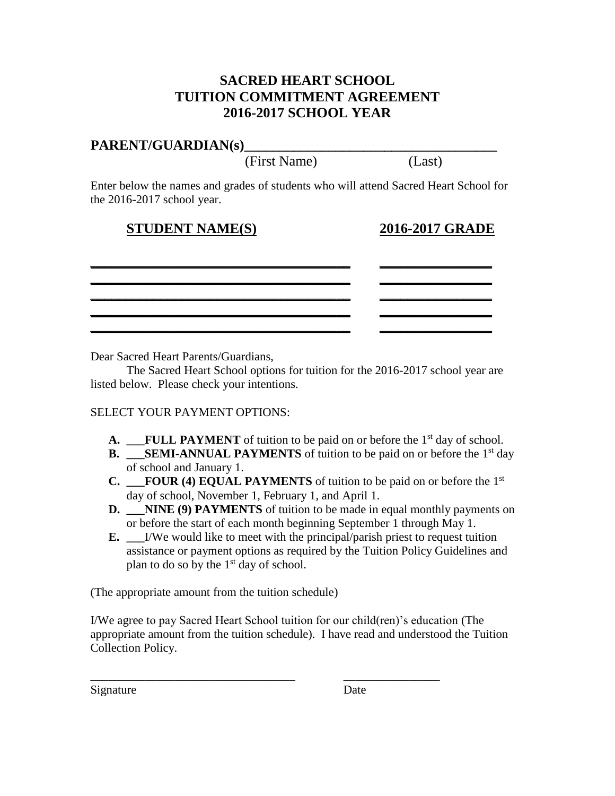# **SACRED HEART SCHOOL TUITION COMMITMENT AGREEMENT 2016-2017 SCHOOL YEAR**

## PARENT/GUARDIAN(s)

(First Name) (Last)

Enter below the names and grades of students who will attend Sacred Heart School for the 2016-2017 school year.

# **STUDENT NAME(S) 2016-2017 GRADE**

| the contract of the contract of the contract of the contract of the contract of the contract of the contract of |                                                                                                                                                                                                                                      |
|-----------------------------------------------------------------------------------------------------------------|--------------------------------------------------------------------------------------------------------------------------------------------------------------------------------------------------------------------------------------|
|                                                                                                                 | <u> Andrews Andrews Andrews Andrews Andrews Andrews Andrews Andrews Andrews Andrews Andrews Andrews Andrews Andrews Andrews Andrews Andrews Andrews Andrews Andrews Andrews Andrews Andrews Andrews Andrews Andrews Andrews Andr</u> |
|                                                                                                                 |                                                                                                                                                                                                                                      |
|                                                                                                                 |                                                                                                                                                                                                                                      |
|                                                                                                                 |                                                                                                                                                                                                                                      |

Dear Sacred Heart Parents/Guardians,

The Sacred Heart School options for tuition for the 2016-2017 school year are listed below. Please check your intentions.

### SELECT YOUR PAYMENT OPTIONS:

- A. **\_\_FULL PAYMENT** of tuition to be paid on or before the 1<sup>st</sup> day of school.
- **B. SEMI-ANNUAL PAYMENTS** of tuition to be paid on or before the  $1<sup>st</sup>$  day of school and January 1.
- **C. FOUR (4) EQUAL PAYMENTS** of tuition to be paid on or before the  $1<sup>st</sup>$ day of school, November 1, February 1, and April 1.
- **D. NINE (9) PAYMENTS** of tuition to be made in equal monthly payments on or before the start of each month beginning September 1 through May 1.
- **E. \_\_\_**I/We would like to meet with the principal/parish priest to request tuition assistance or payment options as required by the Tuition Policy Guidelines and plan to do so by the  $1<sup>st</sup>$  day of school.

(The appropriate amount from the tuition schedule)

I/We agree to pay Sacred Heart School tuition for our child(ren)'s education (The appropriate amount from the tuition schedule). I have read and understood the Tuition Collection Policy.

\_\_\_\_\_\_\_\_\_\_\_\_\_\_\_\_\_\_\_\_\_\_\_\_\_\_\_\_\_\_\_\_\_\_ \_\_\_\_\_\_\_\_\_\_\_\_\_\_\_\_

Signature Date